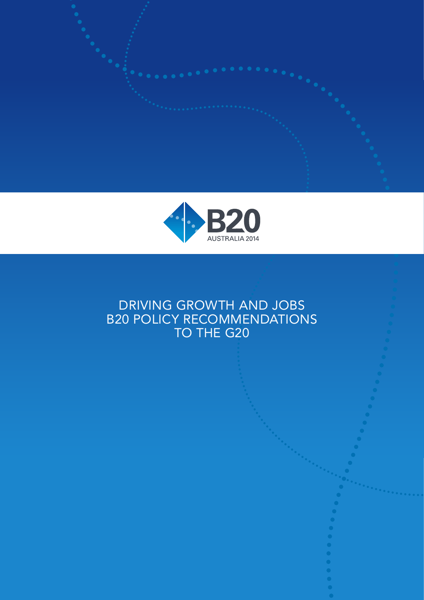



# DRIVING GROWTH AND JOBS B20 POLICY RECOMMENDATIONS TO THE G20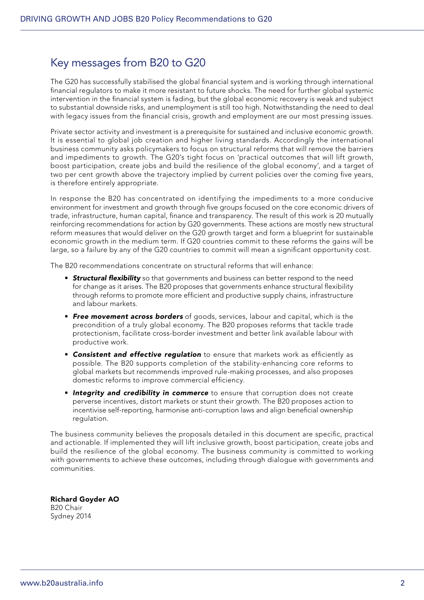## Key messages from B20 to G20

The G20 has successfully stabilised the global financial system and is working through international financial regulators to make it more resistant to future shocks. The need for further global systemic intervention in the financial system is fading, but the global economic recovery is weak and subject to substantial downside risks, and unemployment is still too high. Notwithstanding the need to deal with legacy issues from the financial crisis, growth and employment are our most pressing issues.

Private sector activity and investment is a prerequisite for sustained and inclusive economic growth. It is essential to global job creation and higher living standards. Accordingly the international business community asks policymakers to focus on structural reforms that will remove the barriers and impediments to growth. The G20's tight focus on 'practical outcomes that will lift growth, boost participation, create jobs and build the resilience of the global economy', and a target of two per cent growth above the trajectory implied by current policies over the coming five years, is therefore entirely appropriate.

In response the B20 has concentrated on identifying the impediments to a more conducive environment for investment and growth through five groups focused on the core economic drivers of trade, infrastructure, human capital, finance and transparency. The result of this work is 20 mutually reinforcing recommendations for action by G20 governments. These actions are mostly new structural reform measures that would deliver on the G20 growth target and form a blueprint for sustainable economic growth in the medium term. If G20 countries commit to these reforms the gains will be large, so a failure by any of the G20 countries to commit will mean a significant opportunity cost.

The B20 recommendations concentrate on structural reforms that will enhance:

- **Structural flexibility** so that governments and business can better respond to the need for change as it arises. The B20 proposes that governments enhance structural flexibility through reforms to promote more efficient and productive supply chains, infrastructure and labour markets.
- **Free movement across borders** of goods, services, labour and capital, which is the precondition of a truly global economy. The B20 proposes reforms that tackle trade protectionism, facilitate cross-border investment and better link available labour with productive work.
- Consistent and effective regulation to ensure that markets work as efficiently as possible. The B20 supports completion of the stability-enhancing core reforms to global markets but recommends improved rule-making processes, and also proposes domestic reforms to improve commercial efficiency.
- Integrity and credibility in commerce to ensure that corruption does not create perverse incentives, distort markets or stunt their growth. The B20 proposes action to incentivise self-reporting, harmonise anti-corruption laws and align beneficial ownership regulation.

The business community believes the proposals detailed in this document are specific, practical and actionable. If implemented they will lift inclusive growth, boost participation, create jobs and build the resilience of the global economy. The business community is committed to working with governments to achieve these outcomes, including through dialogue with governments and communities.

Richard Goyder AO B20 Chair Sydney 2014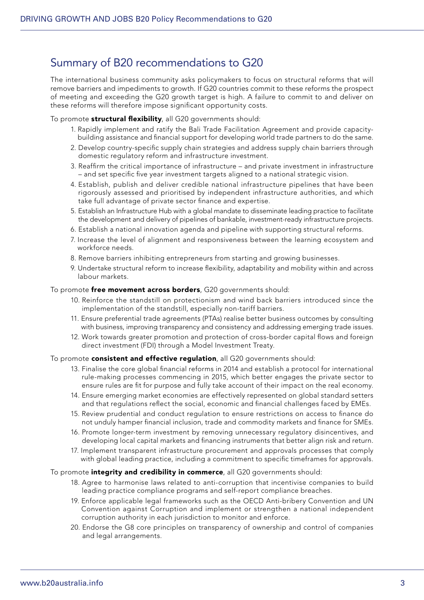## Summary of B20 recommendations to G20

The international business community asks policymakers to focus on structural reforms that will remove barriers and impediments to growth. If G20 countries commit to these reforms the prospect of meeting and exceeding the G20 growth target is high. A failure to commit to and deliver on these reforms will therefore impose significant opportunity costs.

To promote structural flexibility, all G20 governments should:

- 1. Rapidly implement and ratify the Bali Trade Facilitation Agreement and provide capacitybuilding assistance and financial support for developing world trade partners to do the same.
- 2. Develop country-specific supply chain strategies and address supply chain barriers through domestic regulatory reform and infrastructure investment.
- 3. Reaffirm the critical importance of infrastructure and private investment in infrastructure – and set specific five year investment targets aligned to a national strategic vision.
- 4. Establish, publish and deliver credible national infrastructure pipelines that have been rigorously assessed and prioritised by independent infrastructure authorities, and which take full advantage of private sector finance and expertise.
- 5. Establish an Infrastructure Hub with a global mandate to disseminate leading practice to facilitate the development and delivery of pipelines of bankable, investment-ready infrastructure projects.
- 6. Establish a national innovation agenda and pipeline with supporting structural reforms.
- 7. Increase the level of alignment and responsiveness between the learning ecosystem and workforce needs.
- 8. Remove barriers inhibiting entrepreneurs from starting and growing businesses.
- 9. Undertake structural reform to increase flexibility, adaptability and mobility within and across labour markets.

To promote free movement across borders, G20 governments should:

- 10. Reinforce the standstill on protectionism and wind back barriers introduced since the implementation of the standstill, especially non-tariff barriers.
- 11. Ensure preferential trade agreements (PTAs) realise better business outcomes by consulting with business, improving transparency and consistency and addressing emerging trade issues.
- 12. Work towards greater promotion and protection of cross-border capital flows and foreign direct investment (FDI) through a Model Investment Treaty.

#### To promote consistent and effective regulation, all G20 governments should:

- 13. Finalise the core global financial reforms in 2014 and establish a protocol for international rule-making processes commencing in 2015, which better engages the private sector to ensure rules are fit for purpose and fully take account of their impact on the real economy.
- 14. Ensure emerging market economies are effectively represented on global standard setters and that regulations reflect the social, economic and financial challenges faced by EMEs.
- 15. Review prudential and conduct regulation to ensure restrictions on access to finance do not unduly hamper financial inclusion, trade and commodity markets and finance for SMEs.
- 16. Promote longer-term investment by removing unnecessary regulatory disincentives, and developing local capital markets and financing instruments that better align risk and return.
- 17. Implement transparent infrastructure procurement and approvals processes that comply with global leading practice, including a commitment to specific timeframes for approvals.

#### To promote *integrity and credibility in commerce*, all G20 governments should:

- 18. Agree to harmonise laws related to anti-corruption that incentivise companies to build leading practice compliance programs and self-report compliance breaches.
- 19. Enforce applicable legal frameworks such as the OECD Anti-bribery Convention and UN Convention against Corruption and implement or strengthen a national independent corruption authority in each jurisdiction to monitor and enforce.
- 20. Endorse the G8 core principles on transparency of ownership and control of companies and legal arrangements.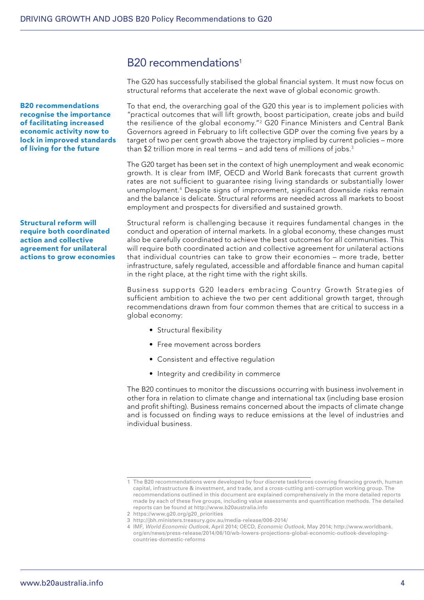## B<sub>20</sub> recommendations<sup>1</sup>

The G20 has successfully stabilised the global financial system. It must now focus on structural reforms that accelerate the next wave of global economic growth.

To that end, the overarching goal of the G20 this year is to implement policies with "practical outcomes that will lift growth, boost participation, create jobs and build the resilience of the global economy."<sup>2</sup> G20 Finance Ministers and Central Bank Governors agreed in February to lift collective GDP over the coming five years by a target of two per cent growth above the trajectory implied by current policies – more than \$2 trillion more in real terms – and add tens of millions of jobs.<sup>3</sup>

The G20 target has been set in the context of high unemployment and weak economic growth. It is clear from IMF, OECD and World Bank forecasts that current growth rates are not sufficient to guarantee rising living standards or substantially lower unemployment.4 Despite signs of improvement, significant downside risks remain and the balance is delicate. Structural reforms are needed across all markets to boost employment and prospects for diversified and sustained growth.

Structural reform is challenging because it requires fundamental changes in the conduct and operation of internal markets. In a global economy, these changes must also be carefully coordinated to achieve the best outcomes for all communities. This will require both coordinated action and collective agreement for unilateral actions that individual countries can take to grow their economies – more trade, better infrastructure, safely regulated, accessible and affordable finance and human capital in the right place, at the right time with the right skills.

Business supports G20 leaders embracing Country Growth Strategies of sufficient ambition to achieve the two per cent additional growth target, through recommendations drawn from four common themes that are critical to success in a global economy:

- Structural flexibility
- Free movement across borders
- Consistent and effective regulation
- Integrity and credibility in commerce

The B20 continues to monitor the discussions occurring with business involvement in other fora in relation to climate change and international tax (including base erosion and profit shifting). Business remains concerned about the impacts of climate change and is focussed on finding ways to reduce emissions at the level of industries and individual business.

B20 recommendations recognise the importance of facilitating increased economic activity now to lock in improved standards of living for the future

Structural reform will require both coordinated action and collective agreement for unilateral actions to grow economies

<sup>1</sup> The B20 recommendations were developed by four discrete taskforces covering financing growth, human capital, infrastructure & investment, and trade, and a cross-cutting anti-corruption working group. The recommendations outlined in this document are explained comprehensively in the more detailed reports made by each of these five groups, including value assessments and quantification methods. The detailed reports can be found at http://www.b20australia.info

<sup>2</sup> https://www.g20.org/g20\_priorities

<sup>3</sup> http://jbh.ministers.treasury.gov.au/media-release/006-2014/

<sup>4</sup> IMF, *World Economic Outlook*, April 2014; OECD, *Economic Outlook*, May 2014; http://www.worldbank. org/en/news/press-release/2014/06/10/wb-lowers-projections-global-economic-outlook-developingcountries-domestic-reforms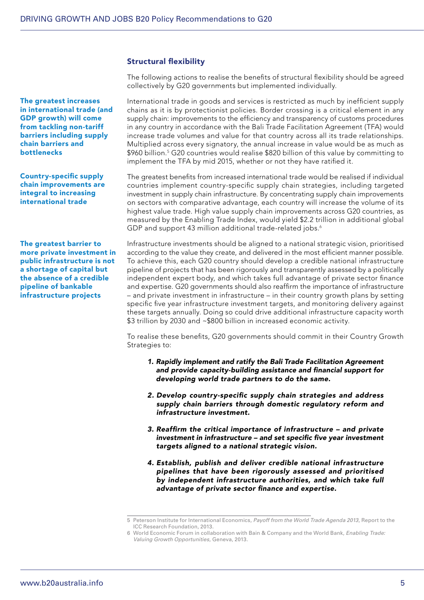The greatest increases in international trade (and GDP growth) will come from tackling non-tariff barriers including supply chain barriers and bottlenecks

Country-specific supply chain improvements are integral to increasing international trade

The greatest barrier to more private investment in public infrastructure is not a shortage of capital but the absence of a credible pipeline of bankable infrastructure projects

### Structural flexibility

The following actions to realise the benefits of structural flexibility should be agreed collectively by G20 governments but implemented individually.

International trade in goods and services is restricted as much by inefficient supply chains as it is by protectionist policies. Border crossing is a critical element in any supply chain: improvements to the efficiency and transparency of customs procedures in any country in accordance with the Bali Trade Facilitation Agreement (TFA) would increase trade volumes and value for that country across all its trade relationships. Multiplied across every signatory, the annual increase in value would be as much as \$960 billion.<sup>5</sup> G20 countries would realise \$820 billion of this value by committing to implement the TFA by mid 2015, whether or not they have ratified it.

The greatest benefits from increased international trade would be realised if individual countries implement country-specific supply chain strategies, including targeted investment in supply chain infrastructure. By concentrating supply chain improvements on sectors with comparative advantage, each country will increase the volume of its highest value trade. High value supply chain improvements across G20 countries, as measured by the Enabling Trade Index, would yield \$2.2 trillion in additional global GDP and support 43 million additional trade-related jobs.<sup>6</sup>

Infrastructure investments should be aligned to a national strategic vision, prioritised according to the value they create, and delivered in the most efficient manner possible. To achieve this, each G20 country should develop a credible national infrastructure pipeline of projects that has been rigorously and transparently assessed by a politically independent expert body, and which takes full advantage of private sector finance and expertise. G20 governments should also reaffirm the importance of infrastructure – and private investment in infrastructure – in their country growth plans by setting specific five year infrastructure investment targets, and monitoring delivery against these targets annually. Doing so could drive additional infrastructure capacity worth \$3 trillion by 2030 and ~\$800 billion in increased economic activity.

To realise these benefits, G20 governments should commit in their Country Growth Strategies to:

- 1. Rapidly implement and ratify the Bali Trade Facilitation Agreement and provide capacity-building assistance and financial support for developing world trade partners to do the same.
- 2. Develop country-specific supply chain strategies and address supply chain barriers through domestic regulatory reform and infrastructure investment.
- 3. Reaffirm the critical importance of infrastructure and private investment in infrastructure – and set specific five year investment targets aligned to a national strategic vision.
- 4. Establish, publish and deliver credible national infrastructure pipelines that have been rigorously assessed and prioritised by independent infrastructure authorities, and which take full advantage of private sector finance and expertise.

<sup>5</sup> Peterson Institute for International Economics, *Payoff from the World Trade Agenda 2013*, Report to the ICC Research Foundation, 2013.

<sup>6</sup> World Economic Forum in collaboration with Bain & Company and the World Bank, *Enabling Trade: Valuing Growth Opportunities*, Geneva, 2013.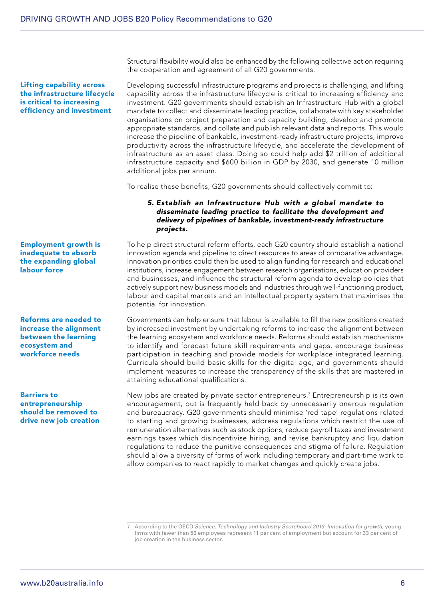Lifting capability across the infrastructure lifecycle is critical to increasing efficiency and investment

Structural flexibility would also be enhanced by the following collective action requiring the cooperation and agreement of all G20 governments.

Developing successful infrastructure programs and projects is challenging, and lifting capability across the infrastructure lifecycle is critical to increasing efficiency and investment. G20 governments should establish an Infrastructure Hub with a global mandate to collect and disseminate leading practice, collaborate with key stakeholder organisations on project preparation and capacity building, develop and promote appropriate standards, and collate and publish relevant data and reports. This would increase the pipeline of bankable, investment-ready infrastructure projects, improve productivity across the infrastructure lifecycle, and accelerate the development of infrastructure as an asset class. Doing so could help add \$2 trillion of additional infrastructure capacity and \$600 billion in GDP by 2030, and generate 10 million additional jobs per annum.

To realise these benefits, G20 governments should collectively commit to:

#### 5. Establish an Infrastructure Hub with a global mandate to disseminate leading practice to facilitate the development and delivery of pipelines of bankable, investment-ready infrastructure projects.

To help direct structural reform efforts, each G20 country should establish a national innovation agenda and pipeline to direct resources to areas of comparative advantage. Innovation priorities could then be used to align funding for research and educational institutions, increase engagement between research organisations, education providers and businesses, and influence the structural reform agenda to develop policies that actively support new business models and industries through well-functioning product, labour and capital markets and an intellectual property system that maximises the potential for innovation.

Governments can help ensure that labour is available to fill the new positions created by increased investment by undertaking reforms to increase the alignment between the learning ecosystem and workforce needs. Reforms should establish mechanisms to identify and forecast future skill requirements and gaps, encourage business participation in teaching and provide models for workplace integrated learning. Curricula should build basic skills for the digital age, and governments should implement measures to increase the transparency of the skills that are mastered in attaining educational qualifications.

New jobs are created by private sector entrepreneurs.<sup>7</sup> Entrepreneurship is its own encouragement, but is frequently held back by unnecessarily onerous regulation and bureaucracy. G20 governments should minimise 'red tape' regulations related to starting and growing businesses, address regulations which restrict the use of remuneration alternatives such as stock options, reduce payroll taxes and investment earnings taxes which disincentivise hiring, and revise bankruptcy and liquidation regulations to reduce the punitive consequences and stigma of failure. Regulation should allow a diversity of forms of work including temporary and part-time work to allow companies to react rapidly to market changes and quickly create jobs.

Employment growth is inadequate to absorb the expanding global labour force

Reforms are needed to increase the alignment between the learning ecosystem and workforce needs

Barriers to entrepreneurship should be removed to drive new job creation

<sup>7</sup> According to the OECD *Science, Technology and Industry Scoreboard 2013: Innovation for growth*, young firms with fewer than 50 employees represent 11 per cent of employment but account for 33 per cent of job creation in the business sector.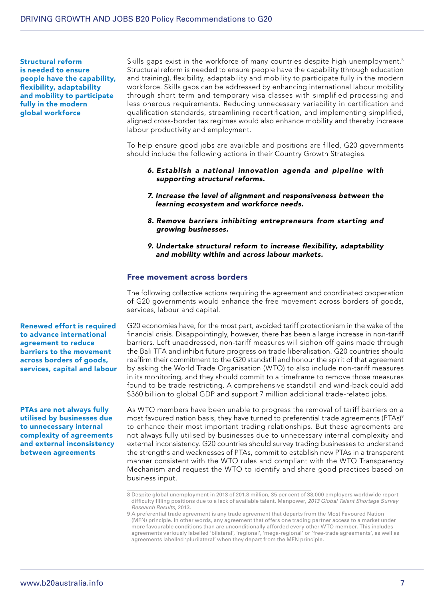Structural reform is needed to ensure people have the capability, flexibility, adaptability and mobility to participate fully in the modern global workforce

Skills gaps exist in the workforce of many countries despite high unemployment.<sup>8</sup> Structural reform is needed to ensure people have the capability (through education and training), flexibility, adaptability and mobility to participate fully in the modern workforce. Skills gaps can be addressed by enhancing international labour mobility through short term and temporary visa classes with simplified processing and less onerous requirements. Reducing unnecessary variability in certification and qualification standards, streamlining recertification, and implementing simplified, aligned cross-border tax regimes would also enhance mobility and thereby increase labour productivity and employment.

To help ensure good jobs are available and positions are filled, G20 governments should include the following actions in their Country Growth Strategies:

- 6. Establish a national innovation agenda and pipeline with supporting structural reforms.
- 7. Increase the level of alignment and responsiveness between the learning ecosystem and workforce needs.
- 8. Remove barriers inhibiting entrepreneurs from starting and growing businesses.
- 9. Undertake structural reform to increase flexibility, adaptability and mobility within and across labour markets.

#### Free movement across borders

The following collective actions requiring the agreement and coordinated cooperation of G20 governments would enhance the free movement across borders of goods, services, labour and capital.

G20 economies have, for the most part, avoided tariff protectionism in the wake of the financial crisis. Disappointingly, however, there has been a large increase in non-tariff barriers. Left unaddressed, non-tariff measures will siphon off gains made through the Bali TFA and inhibit future progress on trade liberalisation. G20 countries should reaffirm their commitment to the G20 standstill and honour the spirit of that agreement by asking the World Trade Organisation (WTO) to also include non-tariff measures in its monitoring, and they should commit to a timeframe to remove those measures found to be trade restricting. A comprehensive standstill and wind-back could add \$360 billion to global GDP and support 7 million additional trade-related jobs.

As WTO members have been unable to progress the removal of tariff barriers on a most favoured nation basis, they have turned to preferential trade agreements (PTAs)<sup>9</sup> to enhance their most important trading relationships. But these agreements are not always fully utilised by businesses due to unnecessary internal complexity and external inconsistency. G20 countries should survey trading businesses to understand the strengths and weaknesses of PTAs, commit to establish new PTAs in a transparent manner consistent with the WTO rules and compliant with the WTO Transparency Mechanism and request the WTO to identify and share good practices based on business input.

Renewed effort is required to advance international agreement to reduce barriers to the movement across borders of goods, services, capital and labour

PTAs are not always fully utilised by businesses due to unnecessary internal complexity of agreements and external inconsistency between agreements

<sup>8</sup> Despite global unemployment in 2013 of 201.8 million, 35 per cent of 38,000 employers worldwide report difficulty filling positions due to a lack of available talent. Manpower, *2013 Global Talent Shortage Survey Research Results*, 2013.

<sup>9</sup> A preferential trade agreement is any trade agreement that departs from the Most Favoured Nation (MFN) principle. In other words, any agreement that offers one trading partner access to a market under more favourable conditions than are unconditionally afforded every other WTO member. This includes agreements variously labelled 'bilateral', 'regional', 'mega-regional' or 'free-trade agreements', as well as agreements labelled 'plurilateral' when they depart from the MFN principle.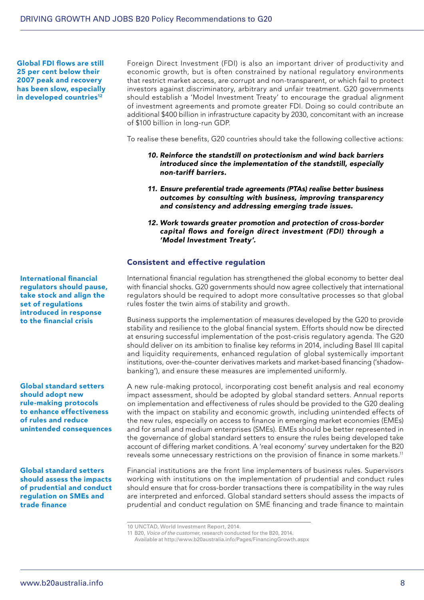Global FDI flows are still 25 per cent below their 2007 peak and recovery has been slow, especially in developed countries<sup>12</sup>

Foreign Direct Investment (FDI) is also an important driver of productivity and economic growth, but is often constrained by national regulatory environments that restrict market access, are corrupt and non-transparent, or which fail to protect investors against discriminatory, arbitrary and unfair treatment. G20 governments should establish a 'Model Investment Treaty' to encourage the gradual alignment of investment agreements and promote greater FDI. Doing so could contribute an additional \$400 billion in infrastructure capacity by 2030, concomitant with an increase of \$100 billion in long-run GDP.

To realise these benefits, G20 countries should take the following collective actions:

- 10. Reinforce the standstill on protectionism and wind back barriers introduced since the implementation of the standstill, especially non-tariff barriers.
- 11. Ensure preferential trade agreements (PTAs) realise better business outcomes by consulting with business, improving transparency and consistency and addressing emerging trade issues.
- 12. Work towards greater promotion and protection of cross-border capital flows and foreign direct investment (FDI) through a 'Model Investment Treaty'.

#### Consistent and effective regulation

International financial regulation has strengthened the global economy to better deal with financial shocks. G20 governments should now agree collectively that international regulators should be required to adopt more consultative processes so that global rules foster the twin aims of stability and growth.

Business supports the implementation of measures developed by the G20 to provide stability and resilience to the global financial system. Efforts should now be directed at ensuring successful implementation of the post-crisis regulatory agenda. The G20 should deliver on its ambition to finalise key reforms in 2014, including Basel III capital and liquidity requirements, enhanced regulation of global systemically important institutions, over-the-counter derivatives markets and market-based financing ('shadowbanking'), and ensure these measures are implemented uniformly.

A new rule-making protocol, incorporating cost benefit analysis and real economy impact assessment, should be adopted by global standard setters. Annual reports on implementation and effectiveness of rules should be provided to the G20 dealing with the impact on stability and economic growth, including unintended effects of the new rules, especially on access to finance in emerging market economies (EMEs) and for small and medium enterprises (SMEs). EMEs should be better represented in the governance of global standard setters to ensure the rules being developed take account of differing market conditions. A 'real economy' survey undertaken for the B20 reveals some unnecessary restrictions on the provision of finance in some markets.<sup>11</sup>

Financial institutions are the front line implementers of business rules. Supervisors working with institutions on the implementation of prudential and conduct rules should ensure that for cross-border transactions there is compatibility in the way rules are interpreted and enforced. Global standard setters should assess the impacts of prudential and conduct regulation on SME financing and trade finance to maintain

International financial regulators should pause, take stock and align the set of regulations introduced in response to the financial crisis

Global standard setters should adopt new rule-making protocols to enhance effectiveness of rules and reduce unintended consequences

Global standard setters should assess the impacts of prudential and conduct regulation on SMEs and trade finance

<sup>10</sup> UNCTAD, World Investment Report, 2014.

<sup>11</sup> B20, *Voice of the customer*, research conducted for the B20, 2014.

Available at http://www.b20australia.info/Pages/FinancingGrowth.aspx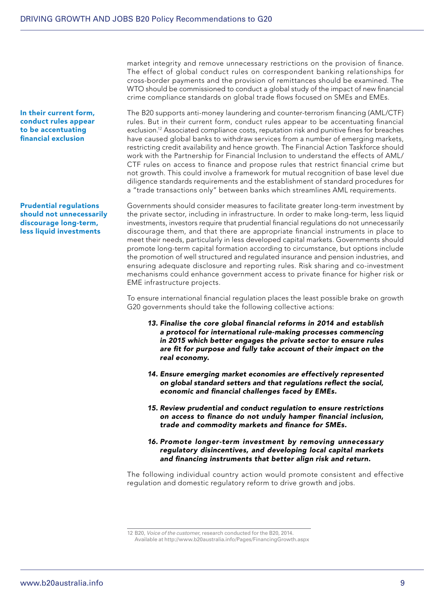market integrity and remove unnecessary restrictions on the provision of finance. The effect of global conduct rules on correspondent banking relationships for cross-border payments and the provision of remittances should be examined. The WTO should be commissioned to conduct a global study of the impact of new financial crime compliance standards on global trade flows focused on SMEs and EMEs.

The B20 supports anti-money laundering and counter-terrorism financing (AML/CTF) rules. But in their current form, conduct rules appear to be accentuating financial exclusion.12 Associated compliance costs, reputation risk and punitive fines for breaches have caused global banks to withdraw services from a number of emerging markets, restricting credit availability and hence growth. The Financial Action Taskforce should work with the Partnership for Financial Inclusion to understand the effects of AML/ CTF rules on access to finance and propose rules that restrict financial crime but not growth. This could involve a framework for mutual recognition of base level due diligence standards requirements and the establishment of standard procedures for a "trade transactions only" between banks which streamlines AML requirements.

Governments should consider measures to facilitate greater long-term investment by the private sector, including in infrastructure. In order to make long-term, less liquid investments, investors require that prudential financial regulations do not unnecessarily discourage them, and that there are appropriate financial instruments in place to meet their needs, particularly in less developed capital markets. Governments should promote long-term capital formation according to circumstance, but options include the promotion of well structured and regulated insurance and pension industries, and ensuring adequate disclosure and reporting rules. Risk sharing and co-investment mechanisms could enhance government access to private finance for higher risk or EME infrastructure projects.

To ensure international financial regulation places the least possible brake on growth G20 governments should take the following collective actions:

- 13. Finalise the core global financial reforms in 2014 and establish a protocol for international rule-making processes commencing in 2015 which better engages the private sector to ensure rules are fit for purpose and fully take account of their impact on the real economy.
- 14. Ensure emerging market economies are effectively represented on global standard setters and that regulations reflect the social, economic and financial challenges faced by EMEs.
- 15. Review prudential and conduct regulation to ensure restrictions on access to finance do not unduly hamper financial inclusion, trade and commodity markets and finance for SMEs.
- 16. Promote longer-term investment by removing unnecessary regulatory disincentives, and developing local capital markets and financing instruments that better align risk and return.

The following individual country action would promote consistent and effective regulation and domestic regulatory reform to drive growth and jobs.

12 B20, *Voice of the customer*, research conducted for the B20, 2014. Available at http://www.b20australia.info/Pages/FinancingGrowth.aspx

Prudential regulations should not unnecessarily discourage long-term, less liquid investments

In their current form, conduct rules appear to be accentuating financial exclusion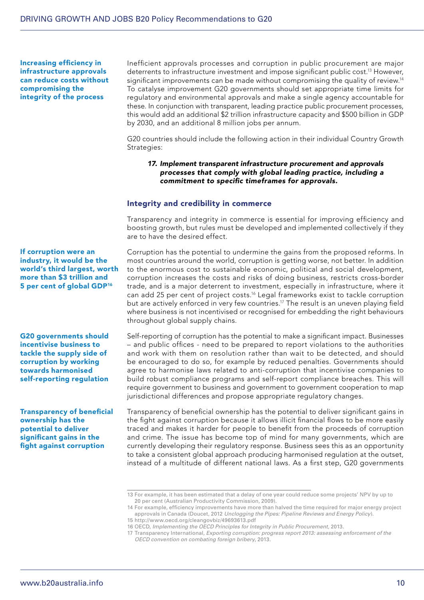Increasing efficiency in infrastructure approvals can reduce costs without compromising the integrity of the process

Inefficient approvals processes and corruption in public procurement are major deterrents to infrastructure investment and impose significant public cost.13 However, significant improvements can be made without compromising the quality of review.<sup>14</sup> To catalyse improvement G20 governments should set appropriate time limits for regulatory and environmental approvals and make a single agency accountable for these. In conjunction with transparent, leading practice public procurement processes, this would add an additional \$2 trillion infrastructure capacity and \$500 billion in GDP by 2030, and an additional 8 million jobs per annum.

G20 countries should include the following action in their individual Country Growth Strategies:

#### 17. Implement transparent infrastructure procurement and approvals processes that comply with global leading practice, including a commitment to specific timeframes for approvals.

#### Integrity and credibility in commerce

Transparency and integrity in commerce is essential for improving efficiency and boosting growth, but rules must be developed and implemented collectively if they are to have the desired effect.

#### If corruption were an industry, it would be the world's third largest, worth more than \$3 trillion and 5 per cent of global GDP<sup>16</sup>

G20 governments should incentivise business to tackle the supply side of corruption by working towards harmonised self-reporting regulation

Transparency of beneficial ownership has the potential to deliver significant gains in the fight against corruption

Corruption has the potential to undermine the gains from the proposed reforms. In most countries around the world, corruption is getting worse, not better. In addition to the enormous cost to sustainable economic, political and social development, corruption increases the costs and risks of doing business, restricts cross-border trade, and is a major deterrent to investment, especially in infrastructure, where it can add 25 per cent of project costs.16 Legal frameworks exist to tackle corruption but are actively enforced in very few countries.<sup>17</sup> The result is an uneven playing field where business is not incentivised or recognised for embedding the right behaviours throughout global supply chains.

Self-reporting of corruption has the potential to make a significant impact. Businesses – and public offices - need to be prepared to report violations to the authorities and work with them on resolution rather than wait to be detected, and should be encouraged to do so, for example by reduced penalties. Governments should agree to harmonise laws related to anti-corruption that incentivise companies to build robust compliance programs and self-report compliance breaches. This will require government to business and government to government cooperation to map jurisdictional differences and propose appropriate regulatory changes.

Transparency of beneficial ownership has the potential to deliver significant gains in the fight against corruption because it allows illicit financial flows to be more easily traced and makes it harder for people to benefit from the proceeds of corruption and crime. The issue has become top of mind for many governments, which are currently developing their regulatory response. Business sees this as an opportunity to take a consistent global approach producing harmonised regulation at the outset, instead of a multitude of different national laws. As a first step, G20 governments

<sup>13</sup> For example, it has been estimated that a delay of one year could reduce some projects' NPV by up to 20 per cent (Australian Productivity Commission, 2009).

<sup>14</sup> For example, efficiency improvements have more than halved the time required for major energy project approvals in Canada (Doucet, 2012 *Unclogging the Pipes: Pipeline Reviews and Energy Policy*). 15 http://www.oecd.org/cleangovbiz/49693613.pdf

<sup>16</sup> OECD, *Implementing the OECD Principles for Integrity in Public Procurement*, 2013.

<sup>17</sup> Transparency International, *Exporting corruption: progress report 2013: assessing enforcement of the OECD convention on combating foreign bribery*, 2013.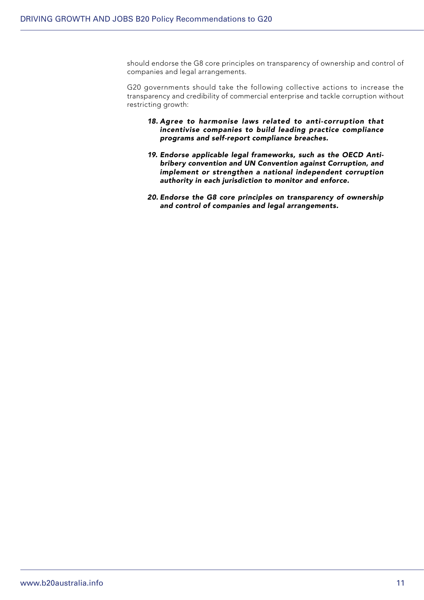should endorse the G8 core principles on transparency of ownership and control of companies and legal arrangements.

G20 governments should take the following collective actions to increase the transparency and credibility of commercial enterprise and tackle corruption without restricting growth:

- 18. Agree to harmonise laws related to anti-corruption that incentivise companies to build leading practice compliance programs and self-report compliance breaches.
- 19. Endorse applicable legal frameworks, such as the OECD Antibribery convention and UN Convention against Corruption, and implement or strengthen a national independent corruption authority in each jurisdiction to monitor and enforce.
- 20. Endorse the G8 core principles on transparency of ownership and control of companies and legal arrangements.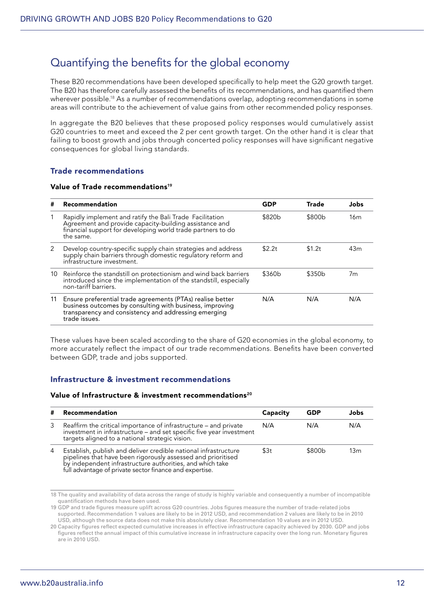## Quantifying the benefits for the global economy

These B20 recommendations have been developed specifically to help meet the G20 growth target. The B20 has therefore carefully assessed the benefits of its recommendations, and has quantified them wherever possible.18 As a number of recommendations overlap, adopting recommendations in some areas will contribute to the achievement of value gains from other recommended policy responses.

In aggregate the B20 believes that these proposed policy responses would cumulatively assist G20 countries to meet and exceed the 2 per cent growth target. On the other hand it is clear that failing to boost growth and jobs through concerted policy responses will have significant negative consequences for global living standards.

### Trade recommendations

#### Value of Trade recommendations<sup>19</sup>

| #  | Recommendation                                                                                                                                                                                  | GDP                | <b>Trade</b> | Jobs |
|----|-------------------------------------------------------------------------------------------------------------------------------------------------------------------------------------------------|--------------------|--------------|------|
|    | Rapidly implement and ratify the Bali Trade Facilitation<br>Agreement and provide capacity-building assistance and<br>financial support for developing world trade partners to do<br>the same.  | \$820b             | \$800b       | 16m  |
| 2  | Develop country-specific supply chain strategies and address<br>supply chain barriers through domestic regulatory reform and<br>infrastructure investment.                                      | \$2.2 <sub>t</sub> | \$1.2t       | 43m  |
| 10 | Reinforce the standstill on protectionism and wind back barriers<br>introduced since the implementation of the standstill, especially<br>non-tariff barriers.                                   | \$360b             | \$350b       | 7m   |
| 11 | Ensure preferential trade agreements (PTAs) realise better<br>business outcomes by consulting with business, improving<br>transparency and consistency and addressing emerging<br>trade issues. | N/A                | N/A          | N/A  |

These values have been scaled according to the share of G20 economies in the global economy, to more accurately reflect the impact of our trade recommendations. Benefits have been converted between GDP, trade and jobs supported.

### Infrastructure & investment recommendations

#### Value of Infrastructure & investment recommendations<sup>20</sup>

| # | Recommendation                                                                                                                                                                                                                                          | Capacity | GDP    | Jobs            |
|---|---------------------------------------------------------------------------------------------------------------------------------------------------------------------------------------------------------------------------------------------------------|----------|--------|-----------------|
| 3 | Reaffirm the critical importance of infrastructure – and private<br>investment in infrastructure – and set specific five year investment<br>targets aligned to a national strategic vision.                                                             | N/A      | N/A    | N/A             |
| 4 | Establish, publish and deliver credible national infrastructure<br>pipelines that have been rigorously assessed and prioritised<br>by independent infrastructure authorities, and which take<br>full advantage of private sector finance and expertise. | \$3t     | \$800b | 13 <sub>m</sub> |

<sup>18</sup> The quality and availability of data across the range of study is highly variable and consequently a number of incompatible quantification methods have been used.

19 GDP and trade figures measure uplift across G20 countries. Jobs figures measure the number of trade-related jobs supported. Recommendation 1 values are likely to be in 2012 USD, and recommendation 2 values are likely to be in 2010 USD, although the source data does not make this absolutely clear. Recommendation 10 values are in 2012 USD.

20 Capacity figures reflect expected cumulative increases in effective infrastructure capacity achieved by 2030. GDP and jobs figures reflect the annual impact of this cumulative increase in infrastructure capacity over the long run. Monetary figures are in 2010 USD.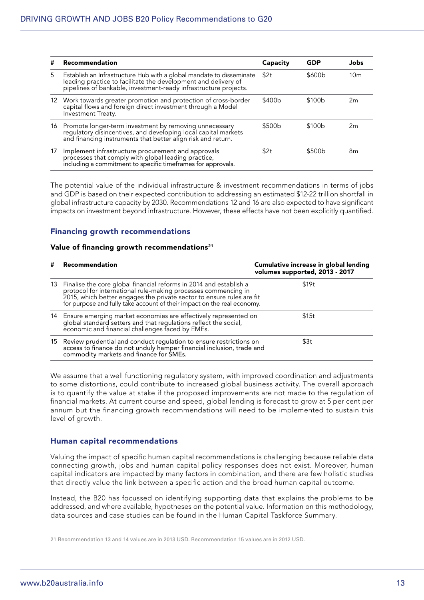| #  | Recommendation                                                                                                                                                                                             | Capacity | <b>GDP</b> | Jobs            |
|----|------------------------------------------------------------------------------------------------------------------------------------------------------------------------------------------------------------|----------|------------|-----------------|
| 5. | Establish an Infrastructure Hub with a global mandate to disseminate<br>leading practice to facilitate the development and delivery of<br>pipelines of bankable, investment-ready infrastructure projects. | \$2t     | \$600b     | 10 <sub>m</sub> |
|    | 12 Work towards greater promotion and protection of cross-border<br>capital flows and foreign direct investment through a Model<br>Investment Treaty.                                                      | \$400b   | \$100b     | 2m              |
|    | 16 Promote longer-term investment by removing unnecessary<br>regulatory disincentives, and developing local capital markets<br>and financing instruments that better align risk and return.                | \$500b   | \$100b     | 2m              |
| 17 | Implement infrastructure procurement and approvals<br>processes that comply with global leading practice,<br>including a commitment to specific timeframes for approvals.                                  | \$2t     | \$500b     | 8m              |

The potential value of the individual infrastructure & investment recommendations in terms of jobs and GDP is based on their expected contribution to addressing an estimated \$12-22 trillion shortfall in global infrastructure capacity by 2030. Recommendations 12 and 16 are also expected to have significant impacts on investment beyond infrastructure. However, these effects have not been explicitly quantified.

### Financing growth recommendations

#### Value of financing growth recommendations<sup>21</sup>

| #  | Recommendation                                                                                                                                                                                                                                                                           | Cumulative increase in global lending<br>volumes supported, 2013 - 2017 |
|----|------------------------------------------------------------------------------------------------------------------------------------------------------------------------------------------------------------------------------------------------------------------------------------------|-------------------------------------------------------------------------|
| 13 | Finalise the core global financial reforms in 2014 and establish a<br>protocol for international rule-making processes commencing in<br>2015, which better engages the private sector to ensure rules are fit<br>for purpose and fully take account of their impact on the real economy. | \$19t                                                                   |
|    | 14 Ensure emerging market economies are effectively represented on<br>global standard setters and that regulations reflect the social,<br>economic and financial challenges faced by EMEs.                                                                                               | \$15t                                                                   |
| 15 | Review prudential and conduct regulation to ensure restrictions on<br>access to finance do not unduly hamper financial inclusion, trade and<br>commodity markets and finance for SMEs.                                                                                                   | \$3t                                                                    |

We assume that a well functioning regulatory system, with improved coordination and adjustments to some distortions, could contribute to increased global business activity. The overall approach is to quantify the value at stake if the proposed improvements are not made to the regulation of financial markets. At current course and speed, global lending is forecast to grow at 5 per cent per annum but the financing growth recommendations will need to be implemented to sustain this level of growth.

#### Human capital recommendations

Valuing the impact of specific human capital recommendations is challenging because reliable data connecting growth, jobs and human capital policy responses does not exist. Moreover, human capital indicators are impacted by many factors in combination, and there are few holistic studies that directly value the link between a specific action and the broad human capital outcome.

Instead, the B20 has focussed on identifying supporting data that explains the problems to be addressed, and where available, hypotheses on the potential value. Information on this methodology, data sources and case studies can be found in the Human Capital Taskforce Summary.

<sup>21</sup> Recommendation 13 and 14 values are in 2013 USD. Recommendation 15 values are in 2012 USD.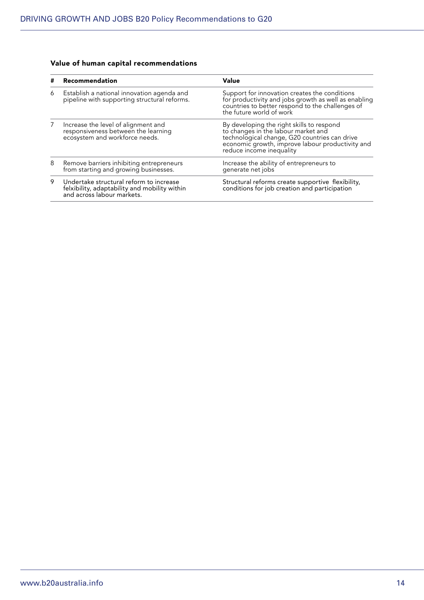## Value of human capital recommendations

| # | Recommendation                                                                                                         | Value                                                                                                                                                                                                             |
|---|------------------------------------------------------------------------------------------------------------------------|-------------------------------------------------------------------------------------------------------------------------------------------------------------------------------------------------------------------|
| 6 | Establish a national innovation agenda and<br>pipeline with supporting structural reforms.                             | Support for innovation creates the conditions<br>for productivity and jobs growth as well as enabling<br>countries to better respond to the challenges of<br>the future world of work                             |
| 7 | Increase the level of alignment and<br>responsiveness between the learning<br>ecosystem and workforce needs.           | By developing the right skills to respond<br>to changes in the labour market and<br>technological change, G20 countries can drive<br>economic growth, improve labour productivity and<br>reduce income inequality |
| 8 | Remove barriers inhibiting entrepreneurs<br>from starting and growing businesses.                                      | Increase the ability of entrepreneurs to<br>generate net jobs                                                                                                                                                     |
| 9 | Undertake structural reform to increase<br>felxibility, adaptability and mobility within<br>and across labour markets. | Structural reforms create supportive flexibility,<br>conditions for job creation and participation                                                                                                                |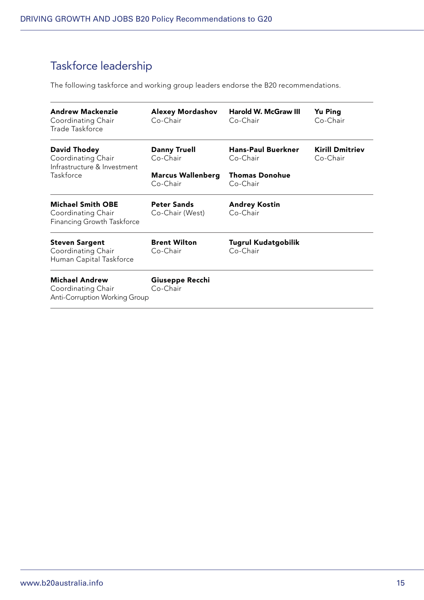# Taskforce leadership

The following taskforce and working group leaders endorse the B20 recommendations.

| <b>Andrew Mackenzie</b><br>Coordinating Chair<br>Trade Taskforce                    | <b>Alexey Mordashov</b><br>Co-Chair   | <b>Harold W. McGraw III</b><br>Co-Chair | <b>Yu Ping</b><br>Co-Chair         |
|-------------------------------------------------------------------------------------|---------------------------------------|-----------------------------------------|------------------------------------|
| David Thodey<br>Coordinating Chair<br>Infrastructure & Investment                   | <b>Danny Truell</b><br>Co-Chair       | <b>Hans-Paul Buerkner</b><br>Co-Chair   | <b>Kirill Dmitriev</b><br>Co-Chair |
| Taskforce                                                                           | <b>Marcus Wallenberg</b><br>Co-Chair  | <b>Thomas Donohue</b><br>Co-Chair       |                                    |
| <b>Michael Smith OBE</b><br>Coordinating Chair<br>Financing Growth Taskforce        | <b>Peter Sands</b><br>Co-Chair (West) | <b>Andrey Kostin</b><br>Co-Chair        |                                    |
| <b>Steven Sargent</b><br>Coordinating Chair<br>Human Capital Taskforce              | <b>Brent Wilton</b><br>Co-Chair       | Tugrul Kudatgobilik<br>Co-Chair         |                                    |
| <b>Michael Andrew</b><br>Coordinating Chair<br><b>Anti-Corruption Working Group</b> | Giuseppe Recchi<br>Co-Chair           |                                         |                                    |